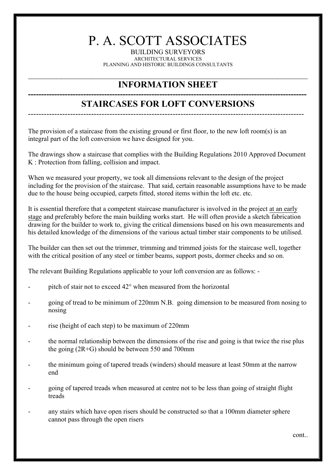## P. A. SCOTT ASSOCIATES

BUILDING SURVEYORS ARCHITECTURAL SERVICES PLANNING AND HISTORIC BUILDINGS CONSULTANTS

## **INFORMATION SHEET**

## **---------------------------------------------------------------------------------------------------------- STAIRCASES FOR LOFT CONVERSIONS**

---------------------------------------------------------------------------------------------------------

The provision of a staircase from the existing ground or first floor, to the new loft room(s) is an integral part of the loft conversion we have designed for you.

The drawings show a staircase that complies with the Building Regulations 2010 Approved Document K : Protection from falling, collision and impact.

When we measured your property, we took all dimensions relevant to the design of the project including for the provision of the staircase. That said, certain reasonable assumptions have to be made due to the house being occupied, carpets fitted, stored items within the loft etc. etc.

It is essential therefore that a competent staircase manufacturer is involved in the project at an early stage and preferably before the main building works start. He will often provide a sketch fabrication drawing for the builder to work to, giving the critical dimensions based on his own measurements and his detailed knowledge of the dimensions of the various actual timber stair components to be utilised.

The builder can then set out the trimmer, trimming and trimmed joists for the staircase well, together with the critical position of any steel or timber beams, support posts, dormer cheeks and so on.

The relevant Building Regulations applicable to your loft conversion are as follows: -

- pitch of stair not to exceed 42° when measured from the horizontal
- going of tread to be minimum of 220mm N.B. going dimension to be measured from nosing to nosing
- rise (height of each step) to be maximum of 220mm
- the normal relationship between the dimensions of the rise and going is that twice the rise plus the going (2R+G) should be between 550 and 700mm
- the minimum going of tapered treads (winders) should measure at least 50mm at the narrow end
- going of tapered treads when measured at centre not to be less than going of straight flight treads
- any stairs which have open risers should be constructed so that a 100mm diameter sphere cannot pass through the open risers

cont..